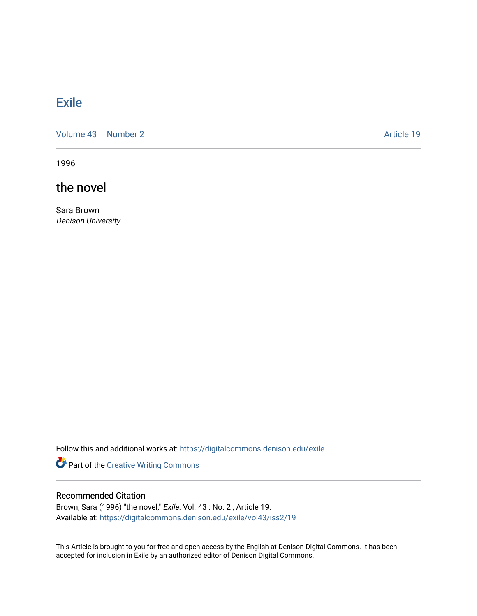## **[Exile](https://digitalcommons.denison.edu/exile)**

[Volume 43](https://digitalcommons.denison.edu/exile/vol43) | [Number 2](https://digitalcommons.denison.edu/exile/vol43/iss2) Article 19

1996

the novel

Sara Brown Denison University

Follow this and additional works at: [https://digitalcommons.denison.edu/exile](https://digitalcommons.denison.edu/exile?utm_source=digitalcommons.denison.edu%2Fexile%2Fvol43%2Fiss2%2F19&utm_medium=PDF&utm_campaign=PDFCoverPages) 

Part of the [Creative Writing Commons](http://network.bepress.com/hgg/discipline/574?utm_source=digitalcommons.denison.edu%2Fexile%2Fvol43%2Fiss2%2F19&utm_medium=PDF&utm_campaign=PDFCoverPages) 

## Recommended Citation

Brown, Sara (1996) "the novel," Exile: Vol. 43 : No. 2, Article 19. Available at: [https://digitalcommons.denison.edu/exile/vol43/iss2/19](https://digitalcommons.denison.edu/exile/vol43/iss2/19?utm_source=digitalcommons.denison.edu%2Fexile%2Fvol43%2Fiss2%2F19&utm_medium=PDF&utm_campaign=PDFCoverPages)

This Article is brought to you for free and open access by the English at Denison Digital Commons. It has been accepted for inclusion in Exile by an authorized editor of Denison Digital Commons.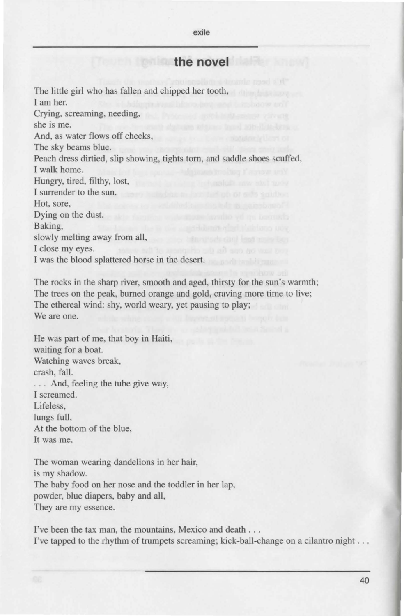exile

## **the novel**

The little girl who has fallen and chipped her tooth, I am her. Crying, screaming, needing, she is me. And, as water flows off cheeks, The sky beams blue. Peach dress dirtied, slip showing, tights torn, and saddle shoes scuffed, I walk home. Hungry, tired, filthy, lost, I surrender to the sun. Hot, sore, Dying on the dust. Baking, slowly melting away from all, I close my eyes. I was the blood splattered horse in the desert.

The rocks in the sharp river, smooth and aged, thirsty for the sun's warmth; The trees on the peak, burned orange and gold, craving more time to live; The ethereal wind: shy, world weary, yet pausing to play; We are one.

He was part of me, that boy in Haiti, waiting for a boat. Watching waves break, crash, fall. ... And, feeling the tube give way. I screamed. Lifeless, lungs full, At the bottom of the blue, It was me.

The woman wearing dandelions in her hair, is my shadow. The baby food on her nose and the toddler in her lap, powder, blue diapers, baby and all, They are my essence.

I've been the tax man, the mountains, Mexico and death . . . I've tapped to the rhythm of trumpets screaming; kick-ball-change on a cilantro night ...